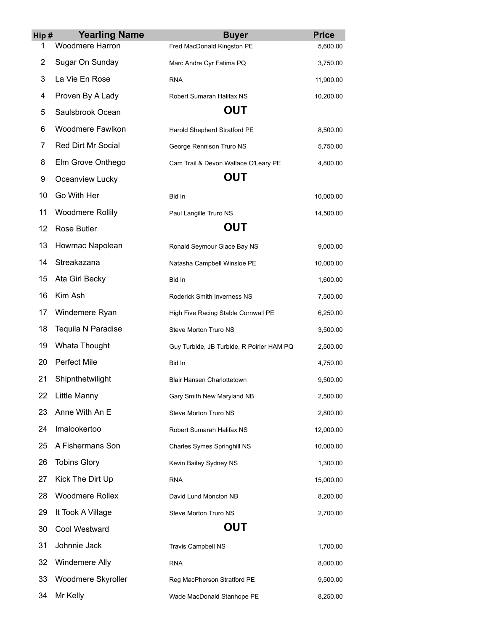| Hip# | <b>Yearling Name</b>      | <b>Buyer</b>                              | <b>Price</b> |
|------|---------------------------|-------------------------------------------|--------------|
| 1    | <b>Woodmere Harron</b>    | Fred MacDonald Kingston PE                | 5,600.00     |
| 2    | Sugar On Sunday           | Marc Andre Cyr Fatima PQ                  | 3,750.00     |
| 3    | La Vie En Rose            | <b>RNA</b>                                | 11,900.00    |
| 4    | Proven By A Lady          | Robert Sumarah Halifax NS                 | 10,200.00    |
| 5    | Saulsbrook Ocean          | <b>OUT</b>                                |              |
| 6    | Woodmere Fawlkon          | Harold Shepherd Stratford PE              | 8,500.00     |
| 7    | <b>Red Dirt Mr Social</b> | George Rennison Truro NS                  | 5,750.00     |
| 8    | Elm Grove Onthego         | Cam Trail & Devon Wallace O'Leary PE      | 4,800.00     |
| 9    | Oceanview Lucky           | <b>OUT</b>                                |              |
| 10   | Go With Her               | Bid In                                    | 10,000.00    |
| 11   | <b>Woodmere Rollily</b>   | Paul Langille Truro NS                    | 14,500.00    |
| 12   | Rose Butler               | <b>OUT</b>                                |              |
| 13   | Howmac Napolean           | Ronald Seymour Glace Bay NS               | 9,000.00     |
| 14   | Streakazana               | Natasha Campbell Winsloe PE               | 10,000.00    |
| 15   | Ata Girl Becky            | Bid In                                    | 1,600.00     |
| 16   | Kim Ash                   | Roderick Smith Inverness NS               | 7,500.00     |
| 17   | Windemere Ryan            | High Five Racing Stable Cornwall PE       | 6,250.00     |
| 18   | Tequila N Paradise        | Steve Morton Truro NS                     | 3,500.00     |
| 19   | Whata Thought             | Guy Turbide, JB Turbide, R Poirier HAM PQ | 2,500.00     |
| 20   | <b>Perfect Mile</b>       | Bid In                                    | 4,750.00     |
| 21   | Shipnthetwilight          | <b>Blair Hansen Charlottetown</b>         | 9,500.00     |
| 22   | Little Manny              | Gary Smith New Maryland NB                | 2,500.00     |
| 23   | Anne With An E            | Steve Morton Truro NS                     | 2,800.00     |
| 24   | Imalookertoo              | Robert Sumarah Halifax NS                 | 12,000.00    |
| 25   | A Fishermans Son          | Charles Symes Springhill NS               | 10,000.00    |
| 26   | <b>Tobins Glory</b>       | Kevin Bailey Sydney NS                    | 1,300.00     |
| 27   | Kick The Dirt Up          | <b>RNA</b>                                | 15,000.00    |
| 28   | <b>Woodmere Rollex</b>    | David Lund Moncton NB                     | 8,200.00     |
| 29   | It Took A Village         | Steve Morton Truro NS                     | 2,700.00     |
| 30   | Cool Westward             | <b>OUT</b>                                |              |
| 31   | Johnnie Jack              | Travis Campbell NS                        | 1,700.00     |
| 32   | Windemere Ally            | <b>RNA</b>                                | 8,000.00     |
| 33   | Woodmere Skyroller        | Reg MacPherson Stratford PE               | 9,500.00     |
| 34   | Mr Kelly                  | Wade MacDonald Stanhope PE                | 8,250.00     |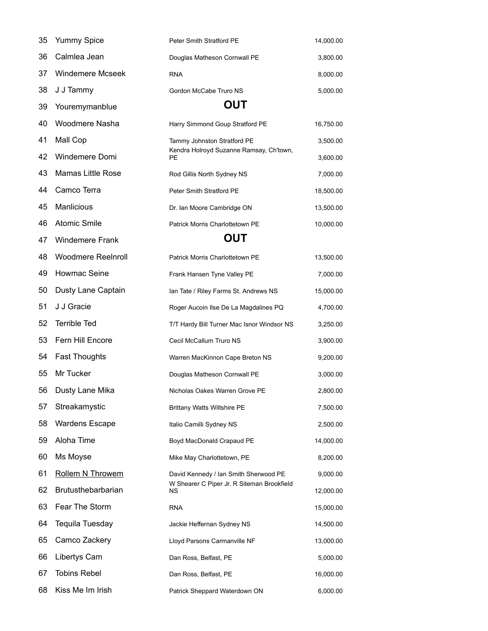| 35 | <b>Yummy Spice</b>        | Peter Smith Stratford PE                         | 14,000.00 |
|----|---------------------------|--------------------------------------------------|-----------|
| 36 | Calmlea Jean              | Douglas Matheson Cornwall PE                     | 3,800.00  |
| 37 | <b>Windemere Mcseek</b>   | <b>RNA</b>                                       | 8,000.00  |
| 38 | J J Tammy                 | Gordon McCabe Truro NS                           | 5,000.00  |
| 39 | Youremymanblue            | <b>OUT</b>                                       |           |
| 40 | Woodmere Nasha            | Harry Simmond Goup Stratford PE                  | 16,750.00 |
| 41 | Mall Cop                  | Tammy Johnston Stratford PE                      | 3,500.00  |
| 42 | Windemere Domi            | Kendra Holroyd Suzanne Ramsay, Ch'town,<br>PE    | 3,600.00  |
| 43 | Mamas Little Rose         | Rod Gillis North Sydney NS                       | 7,000.00  |
| 44 | Camco Terra               | Peter Smith Stratford PE                         | 18,500.00 |
| 45 | <b>Manlicious</b>         | Dr. Ian Moore Cambridge ON                       | 13,500.00 |
| 46 | <b>Atomic Smile</b>       | Patrick Morris Charlottetown PE                  | 10,000.00 |
| 47 | <b>Windemere Frank</b>    | <b>OUT</b>                                       |           |
| 48 | <b>Woodmere Reelnroll</b> | Patrick Morris Charlottetown PE                  | 13,500.00 |
| 49 | Howmac Seine              | Frank Hansen Tyne Valley PE                      | 7,000.00  |
| 50 | Dusty Lane Captain        | Ian Tate / Riley Farms St. Andrews NS            | 15,000.00 |
| 51 | J J Gracie                | Roger Aucoin Ilse De La Magdalines PQ            | 4,700.00  |
| 52 | <b>Terrible Ted</b>       | T/T Hardy Bill Turner Mac Isnor Windsor NS       | 3,250.00  |
| 53 | Fern Hill Encore          | Cecil McCallum Truro NS                          | 3,900.00  |
| 54 | <b>Fast Thoughts</b>      | Warren MacKinnon Cape Breton NS                  | 9,200.00  |
| 55 | Mr Tucker                 | Douglas Matheson Cornwall PE                     | 3,000.00  |
| 56 | Dusty Lane Mika           | Nicholas Oakes Warren Grove PE                   | 2,800.00  |
| 57 | Streakamystic             | <b>Brittany Watts Wiltshire PE</b>               | 7,500.00  |
| 58 | <b>Wardens Escape</b>     | Italio Camilli Sydney NS                         | 2,500.00  |
| 59 | Aloha Time                | Boyd MacDonald Crapaud PE                        | 14,000.00 |
| 60 | Ms Moyse                  | Mike May Charlottetown, PE                       | 8,200.00  |
| 61 | Rollem N Throwem          | David Kennedy / Ian Smith Sherwood PE            | 9,000.00  |
| 62 | Brutusthebarbarian        | W Shearer C Piper Jr. R Siteman Brookfield<br>ΝS | 12,000.00 |
| 63 | Fear The Storm            | <b>RNA</b>                                       | 15,000.00 |
| 64 | Tequila Tuesday           | Jackie Heffernan Sydney NS                       | 14,500.00 |
| 65 | Camco Zackery             | Lloyd Parsons Carmanville NF                     | 13,000.00 |
| 66 | Libertys Cam              | Dan Ross, Belfast, PE                            | 5,000.00  |
| 67 | <b>Tobins Rebel</b>       | Dan Ross, Belfast, PE                            | 16,000.00 |
| 68 | Kiss Me Im Irish          | Patrick Sheppard Waterdown ON                    | 6,000.00  |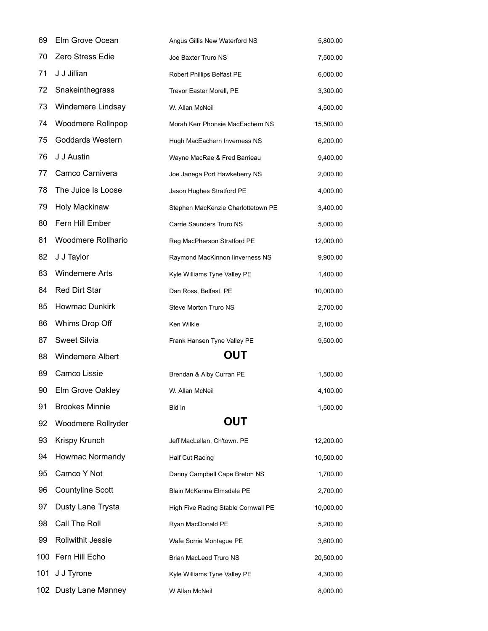| 69  | Elm Grove Ocean         | Angus Gillis New Waterford NS       | 5,800.00  |
|-----|-------------------------|-------------------------------------|-----------|
| 70  | Zero Stress Edie        | Joe Baxter Truro NS                 | 7,500.00  |
| 71  | J J Jillian             | Robert Phillips Belfast PE          | 6,000.00  |
| 72  | Snakeinthegrass         | Trevor Easter Morell, PE            | 3,300.00  |
| 73  | Windemere Lindsay       | W. Allan McNeil                     | 4,500.00  |
| 74  | Woodmere Rollnpop       | Morah Kerr Phonsie MacEachern NS    | 15,500.00 |
| 75  | <b>Goddards Western</b> | Hugh MacEachern Inverness NS        | 6,200.00  |
| 76  | J J Austin              | Wayne MacRae & Fred Barrieau        | 9,400.00  |
| 77  | Camco Carnivera         | Joe Janega Port Hawkeberry NS       | 2,000.00  |
| 78  | The Juice Is Loose      | Jason Hughes Stratford PE           | 4,000.00  |
| 79  | Holy Mackinaw           | Stephen MacKenzie Charlottetown PE  | 3,400.00  |
| 80  | Fern Hill Ember         | Carrie Saunders Truro NS            | 5,000.00  |
| 81  | Woodmere Rollhario      | Reg MacPherson Stratford PE         | 12,000.00 |
| 82  | J J Taylor              | Raymond MacKinnon linverness NS     | 9,900.00  |
| 83  | <b>Windemere Arts</b>   | Kyle Williams Tyne Valley PE        | 1,400.00  |
| 84  | <b>Red Dirt Star</b>    | Dan Ross, Belfast, PE               | 10,000.00 |
| 85  | Howmac Dunkirk          | Steve Morton Truro NS               | 2,700.00  |
| 86  | Whims Drop Off          | Ken Wilkie                          | 2,100.00  |
| 87  | <b>Sweet Silvia</b>     | Frank Hansen Tyne Valley PE         | 9,500.00  |
| 88  | <b>Windemere Albert</b> | <b>OUT</b>                          |           |
| 89  | Camco Lissie            | Brendan & Alby Curran PE            | 1,500.00  |
| 90  | Elm Grove Oakley        | W. Allan McNeil                     | 4,100.00  |
| 91  | <b>Brookes Minnie</b>   | Bid In                              | 1,500.00  |
| 92  | Woodmere Rollryder      | <b>OUT</b>                          |           |
| 93  | Krispy Krunch           | Jeff MacLellan, Ch'town. PE         | 12,200.00 |
| 94  | Howmac Normandy         | Half Cut Racing                     | 10,500.00 |
| 95  | Camco Y Not             | Danny Campbell Cape Breton NS       | 1,700.00  |
| 96  | <b>Countyline Scott</b> | Blain McKenna Elmsdale PE           | 2,700.00  |
| 97  | Dusty Lane Trysta       | High Five Racing Stable Cornwall PE | 10,000.00 |
| 98  | Call The Roll           | Ryan MacDonald PE                   | 5,200.00  |
| 99  | Rollwithit Jessie       | Wafe Sorrie Montague PE             | 3,600.00  |
|     | 100 Fern Hill Echo      | Brian MacLeod Truro NS              | 20,500.00 |
| 101 | J J Tyrone              | Kyle Williams Tyne Valley PE        | 4,300.00  |
|     | 102 Dusty Lane Manney   | W Allan McNeil                      | 8,000.00  |